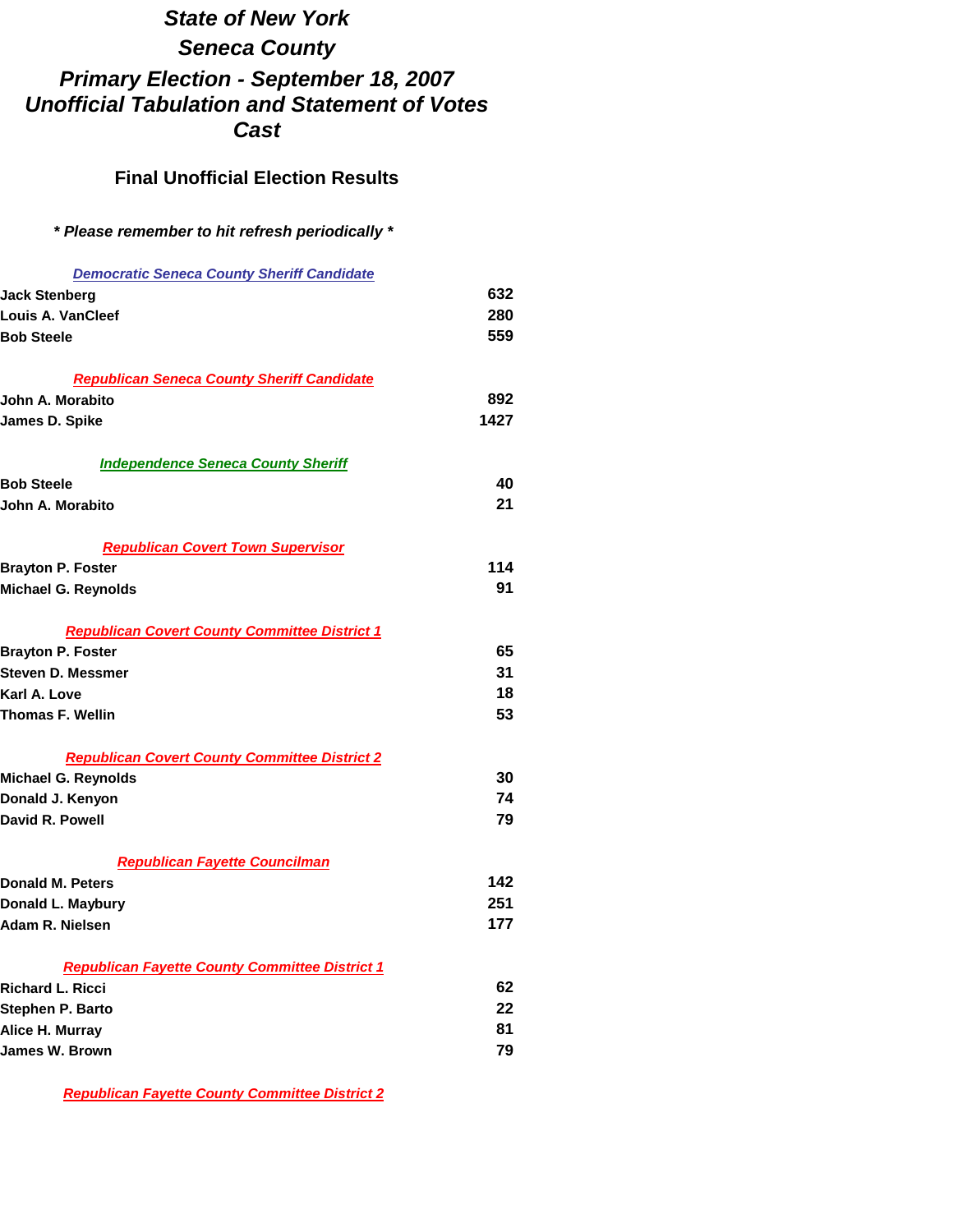## *State of New York Seneca County Primary Election - September 18, 2007 Unofficial Tabulation and Statement of Votes Cast*

## **Final Unofficial Election Results**

## *\* Please remember to hit refresh periodically \**

| <b>Democratic Seneca County Sheriff Candidate</b>                                  |      |
|------------------------------------------------------------------------------------|------|
| Jack Stenberg                                                                      | 632  |
| Louis A. VanCleef                                                                  | 280  |
| <b>Bob Steele</b>                                                                  | 559  |
|                                                                                    |      |
| <b>Republican Seneca County Sheriff Candidate</b>                                  |      |
| John A. Morabito                                                                   | 892  |
| James D. Spike                                                                     | 1427 |
|                                                                                    |      |
| <b>Independence Seneca County Sheriff</b>                                          |      |
| <b>Bob Steele</b>                                                                  | 40   |
| John A. Morabito                                                                   | 21   |
|                                                                                    |      |
| <b>Republican Covert Town Supervisor</b>                                           |      |
| <b>Brayton P. Foster</b>                                                           | 114  |
| Michael G. Reynolds                                                                | 91   |
|                                                                                    |      |
| <b>Republican Covert County Committee District 1</b>                               |      |
| <b>Brayton P. Foster</b>                                                           | 65   |
| Steven D. Messmer                                                                  | 31   |
| Karl A. Love                                                                       | 18   |
| <b>Thomas F. Wellin</b>                                                            | 53   |
|                                                                                    |      |
| <b>Republican Covert County Committee District 2</b><br><b>Michael G. Reynolds</b> | 30   |
| Donald J. Kenyon                                                                   | 74   |
| David R. Powell                                                                    | 79   |
|                                                                                    |      |
| <b>Republican Fayette Councilman</b>                                               |      |
| <b>Donald M. Peters</b>                                                            | 142  |
| Donald L. Maybury                                                                  | 251  |
| Adam R. Nielsen                                                                    | 177  |
|                                                                                    |      |
| <b>Republican Fayette County Committee District 1</b>                              |      |
| <b>Richard L. Ricci</b>                                                            | 62   |
| Stephen P. Barto                                                                   | 22   |
| Alice H. Murray                                                                    | 81   |
| <b>James W. Brown</b>                                                              | 79   |

*Republican Fayette County Committee District 2*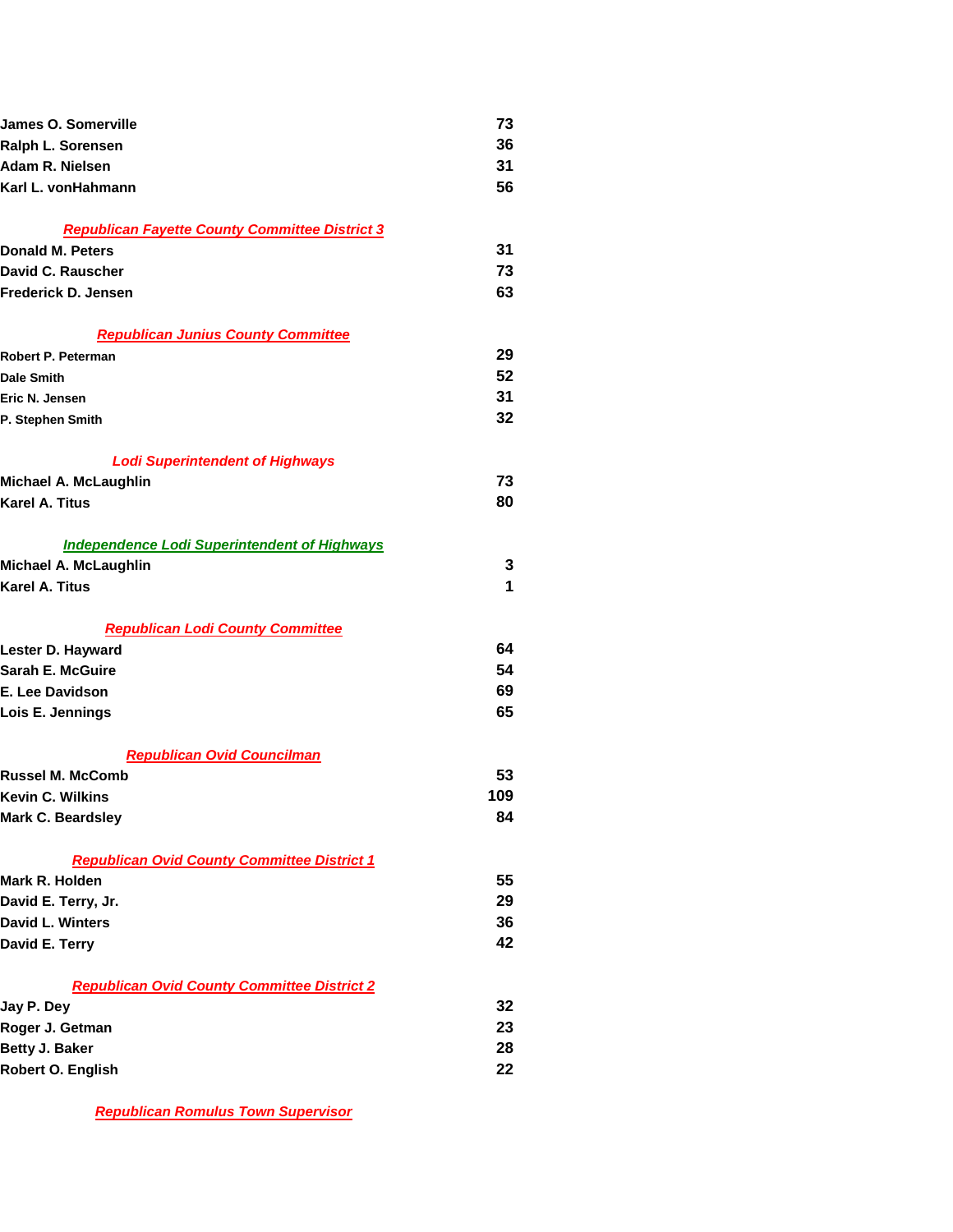| James O. Somerville                                   | 73  |
|-------------------------------------------------------|-----|
| Ralph L. Sorensen                                     | 36  |
| Adam R. Nielsen                                       | 31  |
| Karl L. vonHahmann                                    | 56  |
|                                                       |     |
| <b>Republican Fayette County Committee District 3</b> |     |
| Donald M. Peters                                      | 31  |
| David C. Rauscher                                     | 73  |
| Frederick D. Jensen                                   | 63  |
| <b>Republican Junius County Committee</b>             |     |
| Robert P. Peterman                                    | 29  |
| <b>Dale Smith</b>                                     | 52  |
| Eric N. Jensen                                        | 31  |
| P. Stephen Smith                                      | 32  |
| <b>Lodi Superintendent of Highways</b>                |     |
| Michael A. McLaughlin                                 | 73  |
| Karel A. Titus                                        | 80  |
|                                                       |     |
| <b>Independence Lodi Superintendent of Highways</b>   |     |
| Michael A. McLaughlin                                 | 3   |
| <b>Karel A. Titus</b>                                 | 1   |
| <b>Republican Lodi County Committee</b>               |     |
| Lester D. Hayward                                     | 64  |
| Sarah E. McGuire                                      | 54  |
| E. Lee Davidson                                       | 69  |
| Lois E. Jennings                                      | 65  |
| <b>Republican Ovid Councilman</b>                     |     |
| <b>Russel M. McComb</b>                               | 53  |
| <b>Kevin C. Wilkins</b>                               | 109 |
| Mark C. Beardsley                                     | 84  |
|                                                       |     |
| <b>Republican Ovid County Committee District 1</b>    |     |
| Mark R. Holden                                        | 55  |
| David E. Terry, Jr.                                   | 29  |
| <b>David L. Winters</b>                               | 36  |
| David E. Terry                                        | 42  |
| <b>Republican Ovid County Committee District 2</b>    |     |
| Jay P. Dey                                            | 32  |
| Roger J. Getman                                       | 23  |
| Betty J. Baker                                        | 28  |
| Robert O. English                                     | 22  |
|                                                       |     |

*Republican Romulus Town Supervisor*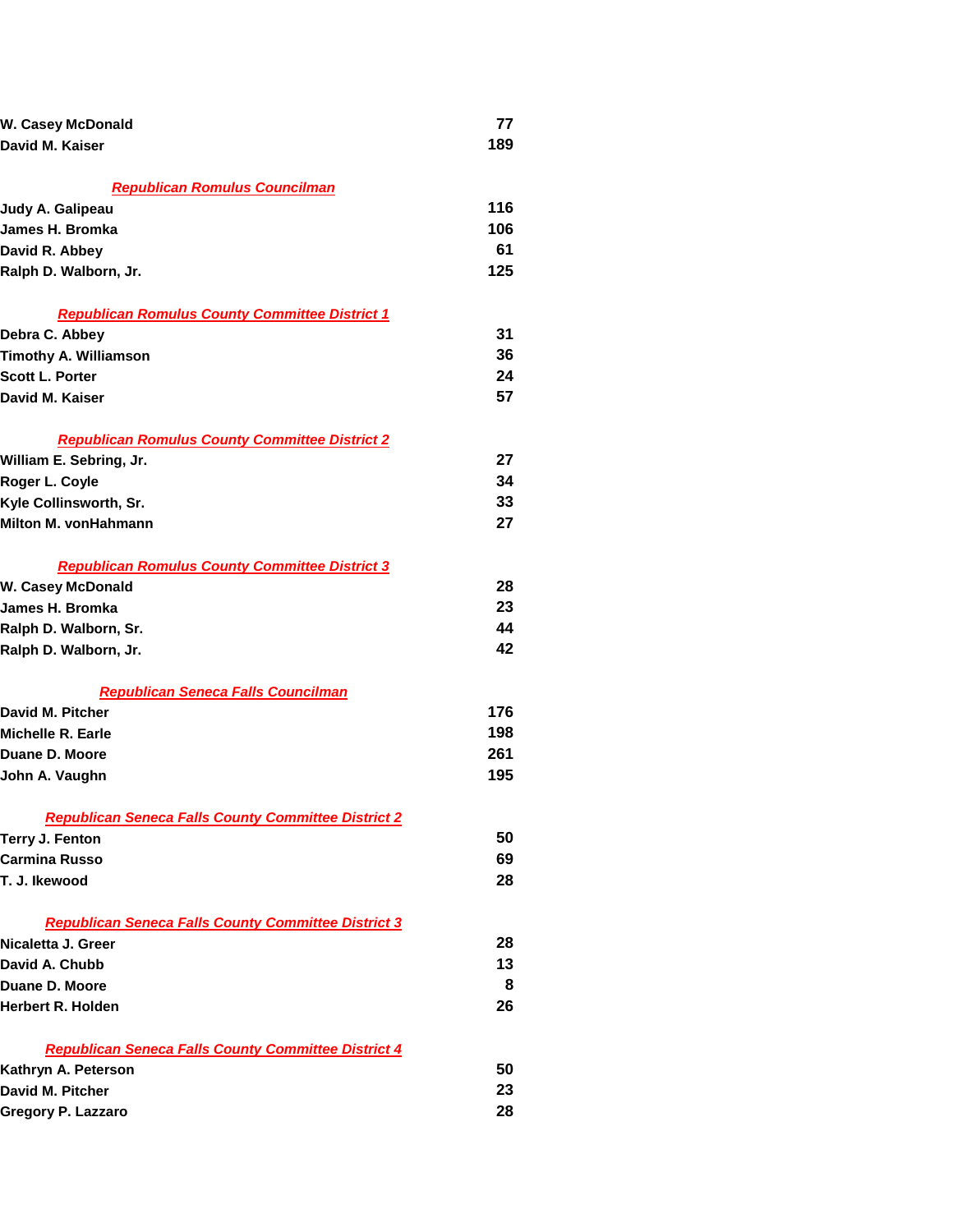| W. Casey McDonald                                          | 77  |
|------------------------------------------------------------|-----|
| David M. Kaiser                                            | 189 |
|                                                            |     |
| <b>Republican Romulus Councilman</b>                       |     |
| Judy A. Galipeau                                           | 116 |
| James H. Bromka                                            | 106 |
| David R. Abbey                                             | 61  |
| Ralph D. Walborn, Jr.                                      | 125 |
| <b>Republican Romulus County Committee District 1</b>      |     |
| Debra C. Abbey                                             | 31  |
| <b>Timothy A. Williamson</b>                               | 36  |
| <b>Scott L. Porter</b>                                     | 24  |
| David M. Kaiser                                            | 57  |
| <b>Republican Romulus County Committee District 2</b>      |     |
| William E. Sebring, Jr.                                    | 27  |
| Roger L. Coyle                                             | 34  |
| Kyle Collinsworth, Sr.                                     | 33  |
| Milton M. vonHahmann                                       | 27  |
| <b>Republican Romulus County Committee District 3</b>      |     |
| <b>W. Casey McDonald</b>                                   | 28  |
| James H. Bromka                                            | 23  |
| Ralph D. Walborn, Sr.                                      | 44  |
| Ralph D. Walborn, Jr.                                      | 42  |
| <b>Republican Seneca Falls Councilman</b>                  |     |
| David M. Pitcher                                           | 176 |
| Michelle R. Earle                                          | 198 |
| Duane D. Moore                                             | 261 |
| John A. Vaughn                                             | 195 |
| <b>Republican Seneca Falls County Committee District 2</b> |     |
| <b>Terry J. Fenton</b>                                     | 50  |
| <b>Carmina Russo</b>                                       | 69  |
| T. J. Ikewood                                              | 28  |
| <b>Republican Seneca Falls County Committee District 3</b> |     |
| Nicaletta J. Greer                                         | 28  |
| David A. Chubb                                             | 13  |
| Duane D. Moore                                             | 8   |
| Herbert R. Holden                                          | 26  |
| <b>Republican Seneca Falls County Committee District 4</b> |     |
| Kathryn A. Peterson                                        | 50  |
| David M. Pitcher                                           | 23  |
| Gregory P. Lazzaro                                         | 28  |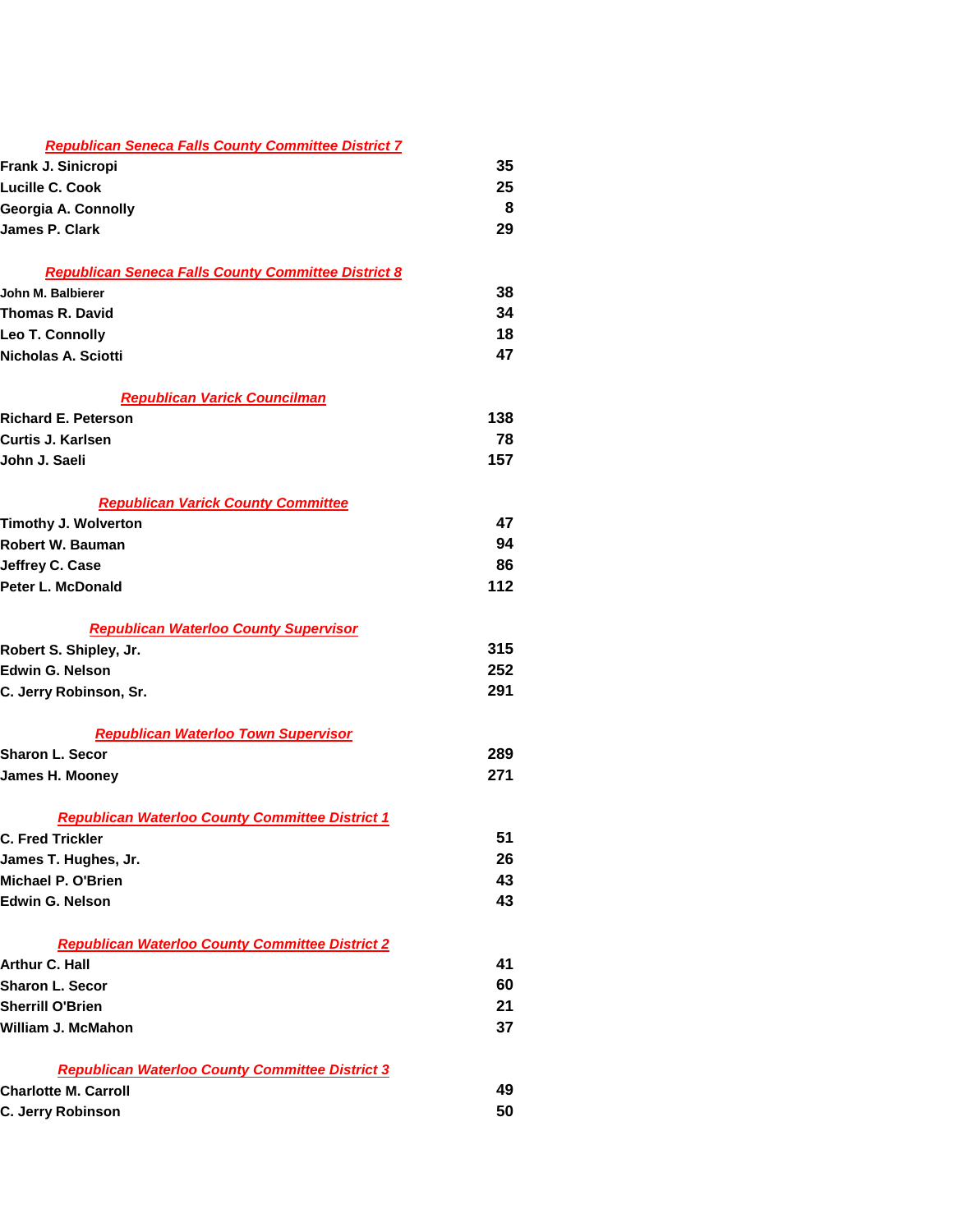| <b>Republican Seneca Falls County Committee District 7</b> |     |
|------------------------------------------------------------|-----|
| Frank J. Sinicropi                                         | 35  |
| Lucille C. Cook                                            | 25  |
| Georgia A. Connolly                                        | 8   |
| James P. Clark                                             | 29  |
|                                                            |     |
| <b>Republican Seneca Falls County Committee District 8</b> |     |
| John M. Balbierer                                          | 38  |
| Thomas R. David                                            | 34  |
| Leo T. Connolly                                            | 18  |
| Nicholas A. Sciotti                                        | 47  |
| <b>Republican Varick Councilman</b>                        |     |
| <b>Richard E. Peterson</b>                                 | 138 |
| Curtis J. Karlsen                                          | 78  |
| John J. Saeli                                              | 157 |
| <b>Republican Varick County Committee</b>                  |     |
| <b>Timothy J. Wolverton</b>                                | 47  |
| Robert W. Bauman                                           | 94  |
| Jeffrey C. Case                                            | 86  |
| Peter L. McDonald                                          | 112 |
| <b>Republican Waterloo County Supervisor</b>               |     |
| Robert S. Shipley, Jr.                                     | 315 |
| <b>Edwin G. Nelson</b>                                     | 252 |
| C. Jerry Robinson, Sr.                                     | 291 |
| <b>Republican Waterloo Town Supervisor</b>                 |     |
| <b>Sharon L. Secor</b>                                     | 289 |
| James H. Mooney                                            | 271 |
| <b>Republican Waterloo County Committee District 1</b>     |     |
| <b>C. Fred Trickler</b>                                    | 51  |
| James T. Hughes, Jr.                                       | 26  |
| Michael P. O'Brien                                         | 43  |
| Edwin G. Nelson                                            | 43  |
| <b>Republican Waterloo County Committee District 2</b>     |     |
| Arthur C. Hall                                             | 41  |
| <b>Sharon L. Secor</b>                                     | 60  |
| <b>Sherrill O'Brien</b>                                    | 21  |
| William J. McMahon                                         | 37  |
| <b>Republican Waterloo County Committee District 3</b>     |     |
| <b>Charlotte M. Carroll</b>                                | 49  |
| C. Jerry Robinson                                          | 50  |